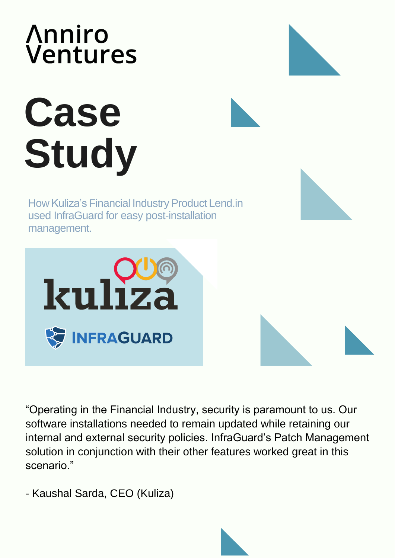#### **Anniro** Ventures

# **Case Study**

How Kuliza's Financial Industry Product Lend.in used InfraGuard for easy post-installation management.



"Operating in the Financial Industry, security is paramount to us. Our software installations needed to remain updated while retaining our internal and external security policies. InfraGuard's Patch Management solution in conjunction with their other features worked great in this scenario."

- Kaushal Sarda, CEO (Kuliza)

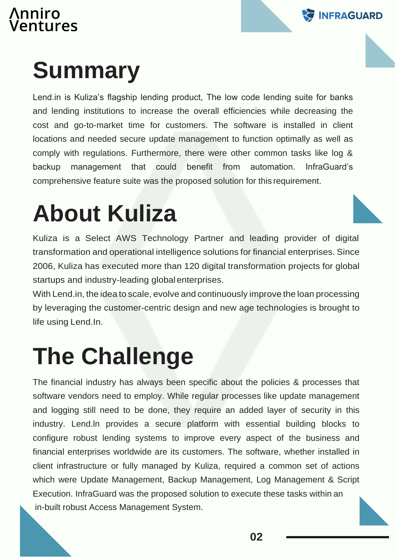# \nniro<br>/entures



### **Summary**

Lend.in is Kuliza's flagship lending product, The low code lending suite for banks and lending institutions to increase the overall efficiencies while decreasing the cost and go-to-market time for customers. The software is installed in client locations and needed secure update management to function optimally as well as comply with regulations. Furthermore, there were other common tasks like log & backup management that could benefit from automation. InfraGuard's comprehensive feature suite was the proposed solution for this requirement.

#### **About Kuliza**

Kuliza is a Select AWS Technology Partner and leading provider of digital transformation and operational intelligence solutions for financial enterprises. Since 2006, Kuliza has executed more than 120 digital transformation projects for global startups and industry-leading globalenterprises.

With Lend.in, the idea to scale, evolve and continuously improve the loan processing by leveraging the customer-centric design and new age technologies is brought to life using Lend.In.

#### **The Challenge**

The financial industry has always been specific about the policies & processes that software vendors need to employ. While regular processes like update management and logging still need to be done, they require an added layer of security in this industry. Lend.ln provides a secure platform with essential building blocks to configure robust lending systems to improve every aspect of the business and financial enterprises worldwide are its customers. The software, whether installed in client infrastructure or fully managed by Kuliza, required a common set of actions which were Update Management, Backup Management, Log Management & Script Execution. InfraGuard was the proposed solution to execute these tasks within an in-built robust Access Management System.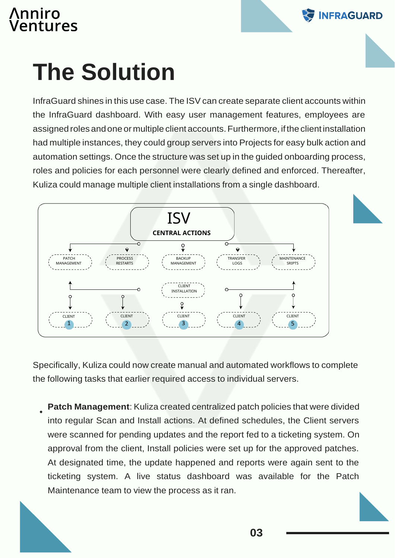#### **\nniro** entures



### **The Solution**

InfraGuard shines in this use case. The ISV can create separate client accounts within the InfraGuard dashboard. With easy user management features, employees are assigned roles andone or multiple client accounts.Furthermore, ifthe clientinstallation had multiple instances, they could group servers into Projects for easy bulk action and automation settings. Once the structure was set up in the guided onboarding process, roles and policies for each personnel were clearly defined and enforced. Thereafter, Kuliza could manage multiple client installations from a single dashboard.



Specifically, Kuliza could now create manual and automated workflows to complete the following tasks that earlier required access to individual servers.

**Patch Management**: Kuliza created centralized patch policies that were divided into regular Scan and Install actions. At defined schedules, the Client servers were scanned for pending updates and the report fed to a ticketing system. On approval from the client, Install policies were set up for the approved patches. At designated time, the update happened and reports were again sent to the ticketing system. A live status dashboard was available for the Patch Maintenance team to view the process as it ran.